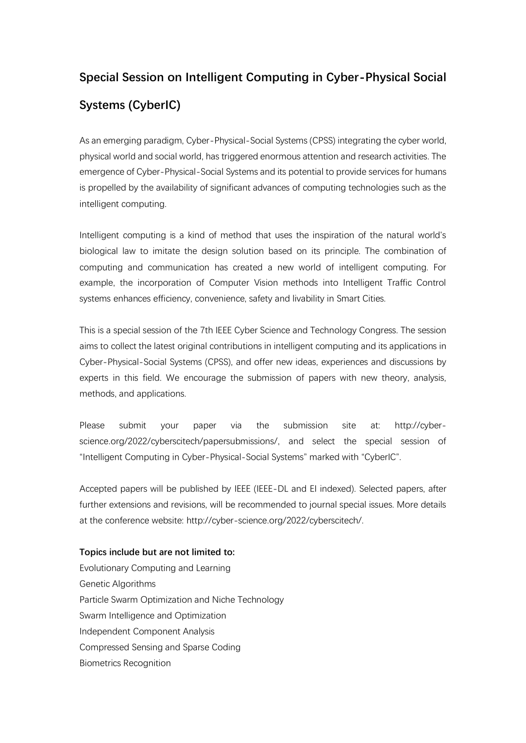## **Special Session on Intelligent Computing in Cyber-Physical Social Systems (CyberIC)**

As an emerging paradigm, Cyber-Physical-Social Systems (CPSS) integrating the cyber world, physical world and social world, has triggered enormous attention and research activities. The emergence of Cyber-Physical-Social Systems and its potential to provide services for humans is propelled by the availability of significant advances of computing technologies such as the intelligent computing.

Intelligent computing is a kind of method that uses the inspiration of the natural world's biological law to imitate the design solution based on its principle. The combination of computing and communication has created a new world of intelligent computing. For example, the incorporation of Computer Vision methods into Intelligent Traffic Control systems enhances efficiency, convenience, safety and livability in Smart Cities.

This is a special session of the 7th IEEE Cyber Science and Technology Congress. The session aims to collect the latest original contributions in intelligent computing and its applications in Cyber-Physical-Social Systems (CPSS), and offer new ideas, experiences and discussions by experts in this field. We encourage the submission of papers with new theory, analysis, methods, and applications.

Please submit your paper via the submission site at: http://cyberscience.org/2022/cyberscitech/papersubmissions/, and select the special session of "Intelligent Computing in Cyber-Physical-Social Systems" marked with "CyberIC".

Accepted papers will be published by IEEE (IEEE-DL and EI indexed). Selected papers, after further extensions and revisions, will be recommended to journal special issues. More details at the conference website: http://cyber-science.org/2022/cyberscitech/.

## **Topics include but are not limited to:**

Evolutionary Computing and Learning Genetic Algorithms Particle Swarm Optimization and Niche Technology Swarm Intelligence and Optimization Independent Component Analysis Compressed Sensing and Sparse Coding Biometrics Recognition